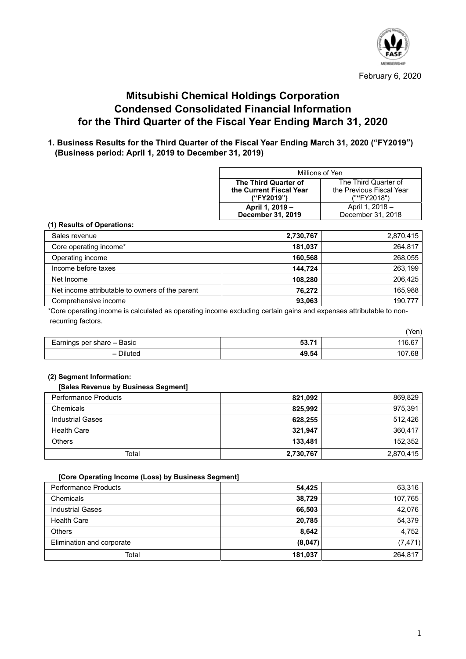

# **Mitsubishi Chemical Holdings Corporation Condensed Consolidated Financial Information for the Third Quarter of the Fiscal Year Ending March 31, 2020**

# **1. Business Results for the Third Quarter of the Fiscal Year Ending March 31, 2020 ("FY2019") (Business period: April 1, 2019 to December 31, 2019)**

| Millions of Yen                                     |                      |  |  |
|-----------------------------------------------------|----------------------|--|--|
| The Third Quarter of                                | The Third Quarter of |  |  |
| the Previous Fiscal Year<br>the Current Fiscal Year |                      |  |  |
| (""FY2018")<br>("FY2019")                           |                      |  |  |
| April 1, 2019 -<br>April 1, 2018 -                  |                      |  |  |
| <b>December 31, 2019</b><br>December 31, 2018       |                      |  |  |

### **(1) Results of Operations:**

| Sales revenue                                   | 2,730,767 | 2,870,415 |
|-------------------------------------------------|-----------|-----------|
| Core operating income*                          | 181,037   | 264.817   |
| Operating income                                | 160,568   | 268,055   |
| Income before taxes                             | 144.724   | 263.199   |
| Net Income                                      | 108,280   | 206.425   |
| Net income attributable to owners of the parent | 76,272    | 165,988   |
| Comprehensive income                            | 93,063    | 190.777   |

\*Core operating income is calculated as operating income excluding certain gains and expenses attributable to nonrecurring factors.

|                            |       | (Yen)  |
|----------------------------|-------|--------|
| Earnings per share – Basic | 53.71 | 116.67 |
| - Diluted                  | 49.54 | 107.68 |

### **(2) Segment Information:**

### **[Sales Revenue by Business Segment]**

| <b>Performance Products</b> | 821,092   | 869,829   |
|-----------------------------|-----------|-----------|
| Chemicals                   | 825,992   | 975,391   |
| <b>Industrial Gases</b>     | 628,255   | 512,426   |
| <b>Health Care</b>          | 321,947   | 360,417   |
| <b>Others</b>               | 133,481   | 152,352   |
| Total                       | 2,730,767 | 2,870,415 |

### **[Core Operating Income (Loss) by Business Segment]**

| <b>Performance Products</b> | 54.425  | 63,316   |
|-----------------------------|---------|----------|
| Chemicals                   | 38,729  | 107,765  |
| <b>Industrial Gases</b>     | 66,503  | 42.076   |
| <b>Health Care</b>          | 20,785  | 54.379   |
| <b>Others</b>               | 8,642   | 4,752    |
| Elimination and corporate   | (8,047) | (7, 471) |
| Total                       | 181,037 | 264.817  |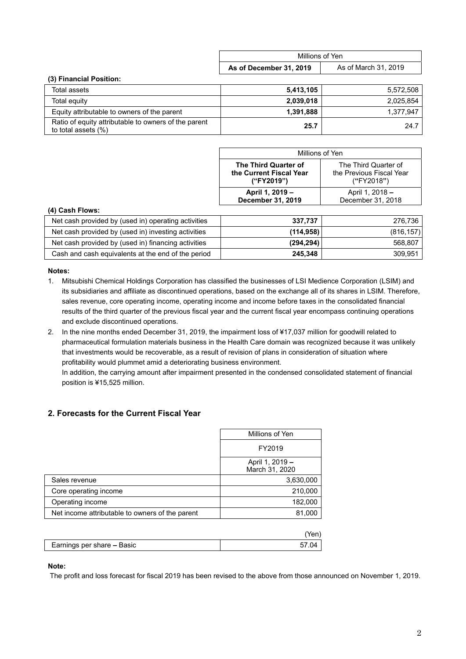|                                                                             | Millions of Yen         |                      |
|-----------------------------------------------------------------------------|-------------------------|----------------------|
|                                                                             | As of December 31, 2019 | As of March 31, 2019 |
| (3) Financial Position:                                                     |                         |                      |
| Total assets                                                                | 5,413,105               | 5,572,508            |
| Total equity                                                                | 2,039,018               | 2.025.854            |
| Equity attributable to owners of the parent                                 | 1,391,888               | 1,377,947            |
| Ratio of equity attributable to owners of the parent<br>to total assets (%) | 25.7                    | 24.7                 |

| Millions of Yen         |                          |  |  |
|-------------------------|--------------------------|--|--|
| The Third Quarter of    | The Third Quarter of     |  |  |
| the Current Fiscal Year | the Previous Fiscal Year |  |  |
| ("FY2019")              | ("FY2018")               |  |  |
| April 1, 2019 -         | April 1, 2018 –          |  |  |
| December 31, 2019       | December 31, 2018        |  |  |

### **(4) Cash Flows:**

| Net cash provided by (used in) operating activities | 337.737    | 276,736    |
|-----------------------------------------------------|------------|------------|
| Net cash provided by (used in) investing activities | (114, 958) | (816, 157) |
| Net cash provided by (used in) financing activities | (294, 294) | 568,807    |
| Cash and cash equivalents at the end of the period  | 245,348    | 309.951    |

### **Notes:**

- 1. Mitsubishi Chemical Holdings Corporation has classified the businesses of LSI Medience Corporation (LSIM) and its subsidiaries and affiliate as discontinued operations, based on the exchange all of its shares in LSIM. Therefore, sales revenue, core operating income, operating income and income before taxes in the consolidated financial results of the third quarter of the previous fiscal year and the current fiscal year encompass continuing operations and exclude discontinued operations.
- 2. In the nine months ended December 31, 2019, the impairment loss of ¥17,037 million for goodwill related to pharmaceutical formulation materials business in the Health Care domain was recognized because it was unlikely that investments would be recoverable, as a result of revision of plans in consideration of situation where profitability would plummet amid a deteriorating business environment.

In addition, the carrying amount after impairment presented in the condensed consolidated statement of financial position is ¥15,525 million.

# **2. Forecasts for the Current Fiscal Year**

| Millions of Yen                   |  |
|-----------------------------------|--|
| FY2019                            |  |
| April 1, 2019 -<br>March 31, 2020 |  |
| 3,630,000                         |  |
| 210,000                           |  |
| 182,000                           |  |
| 81,000                            |  |
|                                   |  |

| Earnings per share <b>–</b> Basic |  |
|-----------------------------------|--|

### **Note:**

The profit and loss forecast for fiscal 2019 has been revised to the above from those announced on November 1, 2019.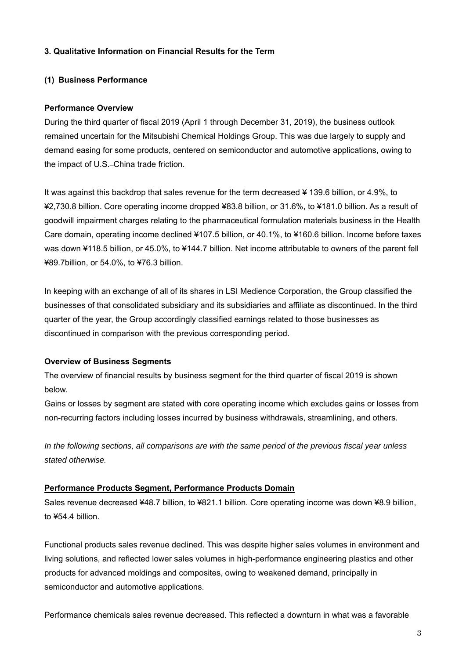# **3. Qualitative Information on Financial Results for the Term**

# **(1) Business Performance**

### **Performance Overview**

During the third quarter of fiscal 2019 (April 1 through December 31, 2019), the business outlook remained uncertain for the Mitsubishi Chemical Holdings Group. This was due largely to supply and demand easing for some products, centered on semiconductor and automotive applications, owing to the impact of U.S.–China trade friction.

It was against this backdrop that sales revenue for the term decreased ¥ 139.6 billion, or 4.9%, to ¥2,730.8 billion. Core operating income dropped ¥83.8 billion, or 31.6%, to ¥181.0 billion. As a result of goodwill impairment charges relating to the pharmaceutical formulation materials business in the Health Care domain, operating income declined ¥107.5 billion, or 40.1%, to ¥160.6 billion. Income before taxes was down ¥118.5 billion, or 45.0%, to ¥144.7 billion. Net income attributable to owners of the parent fell ¥89.7billion, or 54.0%, to ¥76.3 billion.

In keeping with an exchange of all of its shares in LSI Medience Corporation, the Group classified the businesses of that consolidated subsidiary and its subsidiaries and affiliate as discontinued. In the third quarter of the year, the Group accordingly classified earnings related to those businesses as discontinued in comparison with the previous corresponding period.

# **Overview of Business Segments**

The overview of financial results by business segment for the third quarter of fiscal 2019 is shown below.

Gains or losses by segment are stated with core operating income which excludes gains or losses from non-recurring factors including losses incurred by business withdrawals, streamlining, and others.

*In the following sections, all comparisons are with the same period of the previous fiscal year unless stated otherwise.* 

### **Performance Products Segment, Performance Products Domain**

Sales revenue decreased ¥48.7 billion, to ¥821.1 billion. Core operating income was down ¥8.9 billion, to ¥54.4 billion.

Functional products sales revenue declined. This was despite higher sales volumes in environment and living solutions, and reflected lower sales volumes in high-performance engineering plastics and other products for advanced moldings and composites, owing to weakened demand, principally in semiconductor and automotive applications.

Performance chemicals sales revenue decreased. This reflected a downturn in what was a favorable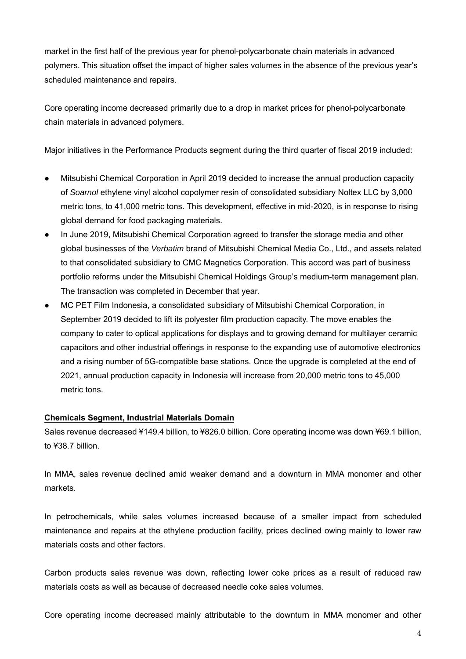market in the first half of the previous year for phenol-polycarbonate chain materials in advanced polymers. This situation offset the impact of higher sales volumes in the absence of the previous year's scheduled maintenance and repairs.

Core operating income decreased primarily due to a drop in market prices for phenol-polycarbonate chain materials in advanced polymers.

Major initiatives in the Performance Products segment during the third quarter of fiscal 2019 included:

- Mitsubishi Chemical Corporation in April 2019 decided to increase the annual production capacity of *Soarnol* ethylene vinyl alcohol copolymer resin of consolidated subsidiary Noltex LLC by 3,000 metric tons, to 41,000 metric tons. This development, effective in mid-2020, is in response to rising global demand for food packaging materials.
- In June 2019, Mitsubishi Chemical Corporation agreed to transfer the storage media and other global businesses of the *Verbatim* brand of Mitsubishi Chemical Media Co., Ltd., and assets related to that consolidated subsidiary to CMC Magnetics Corporation. This accord was part of business portfolio reforms under the Mitsubishi Chemical Holdings Group's medium-term management plan. The transaction was completed in December that year.
- MC PET Film Indonesia, a consolidated subsidiary of Mitsubishi Chemical Corporation, in September 2019 decided to lift its polyester film production capacity. The move enables the company to cater to optical applications for displays and to growing demand for multilayer ceramic capacitors and other industrial offerings in response to the expanding use of automotive electronics and a rising number of 5G-compatible base stations. Once the upgrade is completed at the end of 2021, annual production capacity in Indonesia will increase from 20,000 metric tons to 45,000 metric tons.

# **Chemicals Segment, Industrial Materials Domain**

Sales revenue decreased ¥149.4 billion, to ¥826.0 billion. Core operating income was down ¥69.1 billion, to ¥38.7 billion.

In MMA, sales revenue declined amid weaker demand and a downturn in MMA monomer and other markets.

In petrochemicals, while sales volumes increased because of a smaller impact from scheduled maintenance and repairs at the ethylene production facility, prices declined owing mainly to lower raw materials costs and other factors.

Carbon products sales revenue was down, reflecting lower coke prices as a result of reduced raw materials costs as well as because of decreased needle coke sales volumes.

Core operating income decreased mainly attributable to the downturn in MMA monomer and other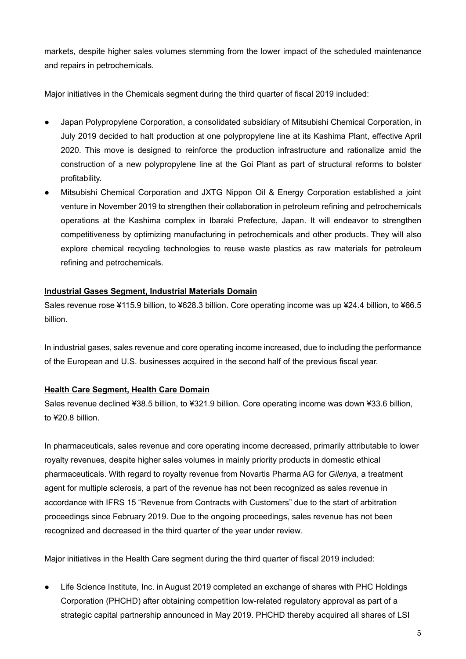markets, despite higher sales volumes stemming from the lower impact of the scheduled maintenance and repairs in petrochemicals.

Major initiatives in the Chemicals segment during the third quarter of fiscal 2019 included:

- Japan Polypropylene Corporation, a consolidated subsidiary of Mitsubishi Chemical Corporation, in July 2019 decided to halt production at one polypropylene line at its Kashima Plant, effective April 2020. This move is designed to reinforce the production infrastructure and rationalize amid the construction of a new polypropylene line at the Goi Plant as part of structural reforms to bolster profitability.
- Mitsubishi Chemical Corporation and JXTG Nippon Oil & Energy Corporation established a joint venture in November 2019 to strengthen their collaboration in petroleum refining and petrochemicals operations at the Kashima complex in Ibaraki Prefecture, Japan. It will endeavor to strengthen competitiveness by optimizing manufacturing in petrochemicals and other products. They will also explore chemical recycling technologies to reuse waste plastics as raw materials for petroleum refining and petrochemicals.

# **Industrial Gases Segment, Industrial Materials Domain**

Sales revenue rose ¥115.9 billion, to ¥628.3 billion. Core operating income was up ¥24.4 billion, to ¥66.5 billion.

In industrial gases, sales revenue and core operating income increased, due to including the performance of the European and U.S. businesses acquired in the second half of the previous fiscal year.

# **Health Care Segment, Health Care Domain**

Sales revenue declined ¥38.5 billion, to ¥321.9 billion. Core operating income was down ¥33.6 billion, to ¥20.8 billion.

In pharmaceuticals, sales revenue and core operating income decreased, primarily attributable to lower royalty revenues, despite higher sales volumes in mainly priority products in domestic ethical pharmaceuticals. With regard to royalty revenue from Novartis Pharma AG for *Gilenya*, a treatment agent for multiple sclerosis, a part of the revenue has not been recognized as sales revenue in accordance with IFRS 15 "Revenue from Contracts with Customers" due to the start of arbitration proceedings since February 2019. Due to the ongoing proceedings, sales revenue has not been recognized and decreased in the third quarter of the year under review.

Major initiatives in the Health Care segment during the third quarter of fiscal 2019 included:

● Life Science Institute, Inc. in August 2019 completed an exchange of shares with PHC Holdings Corporation (PHCHD) after obtaining competition low-related regulatory approval as part of a strategic capital partnership announced in May 2019. PHCHD thereby acquired all shares of LSI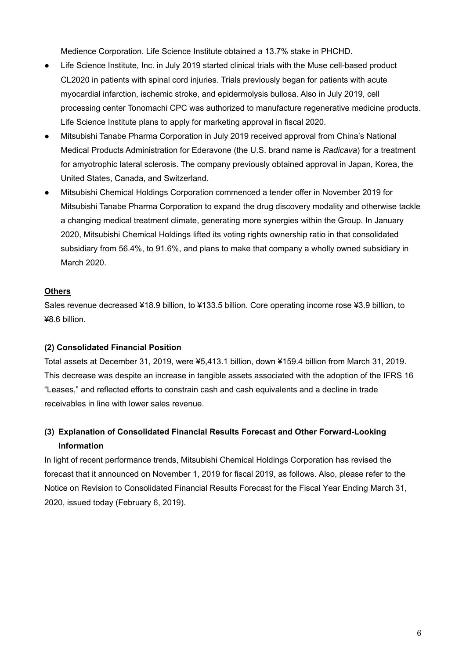Medience Corporation. Life Science Institute obtained a 13.7% stake in PHCHD.

- Life Science Institute, Inc. in July 2019 started clinical trials with the Muse cell-based product CL2020 in patients with spinal cord injuries. Trials previously began for patients with acute myocardial infarction, ischemic stroke, and epidermolysis bullosa. Also in July 2019, cell processing center Tonomachi CPC was authorized to manufacture regenerative medicine products. Life Science Institute plans to apply for marketing approval in fiscal 2020.
- Mitsubishi Tanabe Pharma Corporation in July 2019 received approval from China's National Medical Products Administration for Ederavone (the U.S. brand name is *Radicava*) for a treatment for amyotrophic lateral sclerosis. The company previously obtained approval in Japan, Korea, the United States, Canada, and Switzerland.
- Mitsubishi Chemical Holdings Corporation commenced a tender offer in November 2019 for Mitsubishi Tanabe Pharma Corporation to expand the drug discovery modality and otherwise tackle a changing medical treatment climate, generating more synergies within the Group. In January 2020, Mitsubishi Chemical Holdings lifted its voting rights ownership ratio in that consolidated subsidiary from 56.4%, to 91.6%, and plans to make that company a wholly owned subsidiary in March 2020.

# **Others**

Sales revenue decreased ¥18.9 billion, to ¥133.5 billion. Core operating income rose ¥3.9 billion, to ¥8.6 billion.

# **(2) Consolidated Financial Position**

Total assets at December 31, 2019, were ¥5,413.1 billion, down ¥159.4 billion from March 31, 2019. This decrease was despite an increase in tangible assets associated with the adoption of the IFRS 16 "Leases," and reflected efforts to constrain cash and cash equivalents and a decline in trade receivables in line with lower sales revenue.

# **(3) Explanation of Consolidated Financial Results Forecast and Other Forward-Looking Information**

In light of recent performance trends, Mitsubishi Chemical Holdings Corporation has revised the forecast that it announced on November 1, 2019 for fiscal 2019, as follows. Also, please refer to the Notice on Revision to Consolidated Financial Results Forecast for the Fiscal Year Ending March 31, 2020, issued today (February 6, 2019).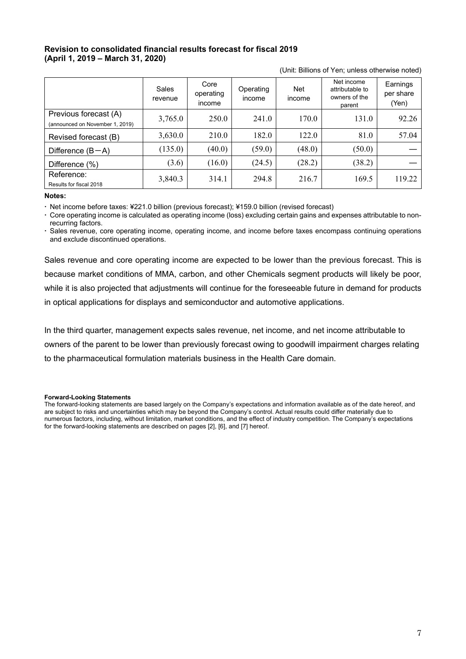# **Revision to consolidated financial results forecast for fiscal 2019 (April 1, 2019 – March 31, 2020)**

|                                                          | Sales<br>revenue | Core<br>operating<br>income | Operating<br>income | <b>Net</b><br>income | Net income<br>attributable to<br>owners of the<br>parent | Earnings<br>per share<br>(Yen) |
|----------------------------------------------------------|------------------|-----------------------------|---------------------|----------------------|----------------------------------------------------------|--------------------------------|
| Previous forecast (A)<br>(announced on November 1, 2019) | 3,765.0          | 250.0                       | 241.0               | 170.0                | 131.0                                                    | 92.26                          |
| Revised forecast (B)                                     | 3,630.0          | 210.0                       | 182.0               | 122.0                | 81.0                                                     | 57.04                          |
| Difference $(B-A)$                                       | (135.0)          | (40.0)                      | (59.0)              | (48.0)               | (50.0)                                                   |                                |
| Difference (%)                                           | (3.6)            | (16.0)                      | (24.5)              | (28.2)               | (38.2)                                                   |                                |
| Reference:<br>Results for fiscal 2018                    | 3,840.3          | 314.1                       | 294.8               | 216.7                | 169.5                                                    | 119.22                         |

(Unit: Billions of Yen; unless otherwise noted)

#### **Notes:**

Net income before taxes: ¥221.0 billion (previous forecast); ¥159.0 billion (revised forecast)

 Core operating income is calculated as operating income (loss) excluding certain gains and expenses attributable to nonrecurring factors.

 Sales revenue, core operating income, operating income, and income before taxes encompass continuing operations and exclude discontinued operations.

Sales revenue and core operating income are expected to be lower than the previous forecast. This is because market conditions of MMA, carbon, and other Chemicals segment products will likely be poor, while it is also projected that adjustments will continue for the foreseeable future in demand for products in optical applications for displays and semiconductor and automotive applications.

In the third quarter, management expects sales revenue, net income, and net income attributable to owners of the parent to be lower than previously forecast owing to goodwill impairment charges relating to the pharmaceutical formulation materials business in the Health Care domain.

#### **Forward-Looking Statements**

The forward-looking statements are based largely on the Company's expectations and information available as of the date hereof, and are subject to risks and uncertainties which may be beyond the Company's control. Actual results could differ materially due to numerous factors, including, without limitation, market conditions, and the effect of industry competition. The Company's expectations for the forward-looking statements are described on pages [2], [6], and [7] hereof.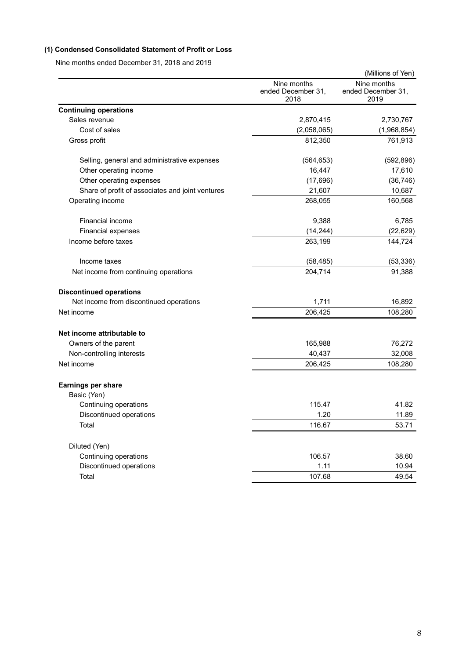# **(1) Condensed Consolidated Statement of Profit or Loss**

Nine months ended December 31, 2018 and 2019

|                                                  |                                           | (Millions of Yen)                         |
|--------------------------------------------------|-------------------------------------------|-------------------------------------------|
|                                                  | Nine months<br>ended December 31,<br>2018 | Nine months<br>ended December 31,<br>2019 |
| <b>Continuing operations</b>                     |                                           |                                           |
| Sales revenue                                    | 2,870,415                                 | 2,730,767                                 |
| Cost of sales                                    | (2,058,065)                               | (1,968,854)                               |
| Gross profit                                     | 812,350                                   | 761,913                                   |
| Selling, general and administrative expenses     | (564, 653)                                | (592, 896)                                |
| Other operating income                           | 16,447                                    | 17,610                                    |
| Other operating expenses                         | (17,696)                                  | (36, 746)                                 |
| Share of profit of associates and joint ventures | 21,607                                    | 10,687                                    |
| Operating income                                 | 268,055                                   | 160,568                                   |
| <b>Financial income</b>                          | 9,388                                     | 6,785                                     |
| Financial expenses                               | (14, 244)                                 | (22, 629)                                 |
| Income before taxes                              | 263,199                                   | 144,724                                   |
| Income taxes                                     | (58, 485)                                 | (53, 336)                                 |
| Net income from continuing operations            | 204,714                                   | 91,388                                    |
| <b>Discontinued operations</b>                   |                                           |                                           |
| Net income from discontinued operations          | 1,711                                     | 16,892                                    |
| Net income                                       | 206,425                                   | 108,280                                   |
| Net income attributable to                       |                                           |                                           |
| Owners of the parent                             | 165,988                                   | 76,272                                    |
| Non-controlling interests                        | 40,437                                    | 32,008                                    |
| Net income                                       | 206,425                                   | 108,280                                   |
| Earnings per share                               |                                           |                                           |
| Basic (Yen)                                      |                                           |                                           |
| Continuing operations                            | 115.47                                    | 41.82                                     |
| Discontinued operations                          | 1.20                                      | 11.89                                     |
| Total                                            | 116.67                                    | 53.71                                     |
| Diluted (Yen)                                    |                                           |                                           |
| Continuing operations                            | 106.57                                    | 38.60                                     |
| Discontinued operations                          | 1.11                                      | 10.94                                     |
| Total                                            | 107.68                                    | 49.54                                     |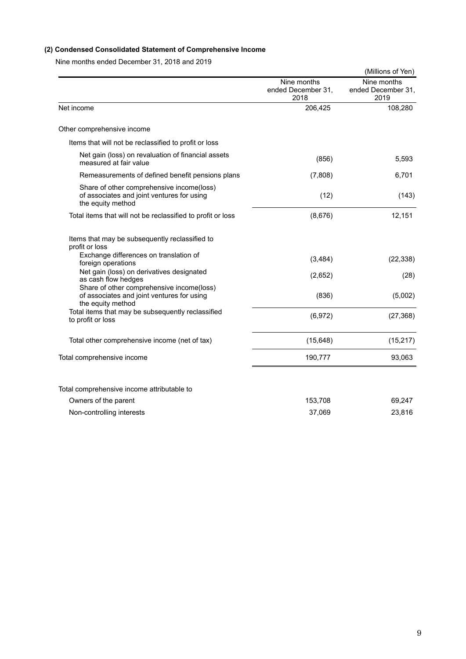# **(2) Condensed Consolidated Statement of Comprehensive Income**

Nine months ended December 31, 2018 and 2019

|                                                                                                              |                                           | (Millions of Yen)                         |
|--------------------------------------------------------------------------------------------------------------|-------------------------------------------|-------------------------------------------|
|                                                                                                              | Nine months<br>ended December 31,<br>2018 | Nine months<br>ended December 31,<br>2019 |
| Net income                                                                                                   | 206,425                                   | 108,280                                   |
| Other comprehensive income                                                                                   |                                           |                                           |
| Items that will not be reclassified to profit or loss                                                        |                                           |                                           |
| Net gain (loss) on revaluation of financial assets<br>measured at fair value                                 | (856)                                     | 5,593                                     |
| Remeasurements of defined benefit pensions plans                                                             | (7,808)                                   | 6,701                                     |
| Share of other comprehensive income(loss)<br>of associates and joint ventures for using<br>the equity method | (12)                                      | (143)                                     |
| Total items that will not be reclassified to profit or loss                                                  | (8,676)                                   | 12,151                                    |
| Items that may be subsequently reclassified to<br>profit or loss                                             |                                           |                                           |
| Exchange differences on translation of<br>foreign operations                                                 | (3,484)                                   | (22, 338)                                 |
| Net gain (loss) on derivatives designated<br>as cash flow hedges                                             | (2,652)                                   | (28)                                      |
| Share of other comprehensive income(loss)<br>of associates and joint ventures for using<br>the equity method | (836)                                     | (5,002)                                   |
| Total items that may be subsequently reclassified<br>to profit or loss                                       | (6,972)                                   | (27, 368)                                 |
| Total other comprehensive income (net of tax)                                                                | (15, 648)                                 | (15, 217)                                 |
| Total comprehensive income                                                                                   | 190,777                                   | 93,063                                    |
|                                                                                                              |                                           |                                           |
| Total comprehensive income attributable to                                                                   |                                           |                                           |
| Owners of the parent                                                                                         | 153,708                                   | 69,247                                    |
| Non-controlling interests                                                                                    | 37,069                                    | 23,816                                    |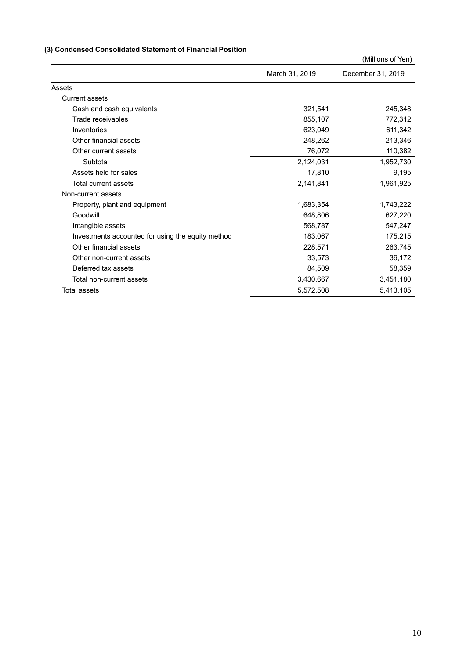# **(3) Condensed Consolidated Statement of Financial Position**

|                                                   |                | (Millions of Yen) |
|---------------------------------------------------|----------------|-------------------|
|                                                   | March 31, 2019 | December 31, 2019 |
| Assets                                            |                |                   |
| <b>Current assets</b>                             |                |                   |
| Cash and cash equivalents                         | 321,541        | 245,348           |
| Trade receivables                                 | 855,107        | 772,312           |
| Inventories                                       | 623,049        | 611,342           |
| Other financial assets                            | 248,262        | 213,346           |
| Other current assets                              | 76,072         | 110,382           |
| Subtotal                                          | 2,124,031      | 1,952,730         |
| Assets held for sales                             | 17,810         | 9,195             |
| Total current assets                              | 2,141,841      | 1,961,925         |
| Non-current assets                                |                |                   |
| Property, plant and equipment                     | 1,683,354      | 1,743,222         |
| Goodwill                                          | 648,806        | 627,220           |
| Intangible assets                                 | 568,787        | 547,247           |
| Investments accounted for using the equity method | 183,067        | 175,215           |
| Other financial assets                            | 228,571        | 263,745           |
| Other non-current assets                          | 33,573         | 36,172            |
| Deferred tax assets                               | 84,509         | 58,359            |
| Total non-current assets                          | 3,430,667      | 3,451,180         |
| <b>Total assets</b>                               | 5,572,508      | 5,413,105         |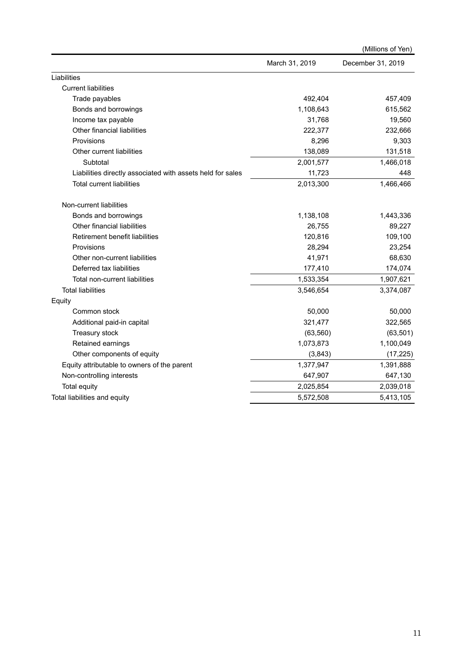|                                                            |                | (Millions of Yen) |
|------------------------------------------------------------|----------------|-------------------|
|                                                            | March 31, 2019 | December 31, 2019 |
| Liabilities                                                |                |                   |
| <b>Current liabilities</b>                                 |                |                   |
| Trade payables                                             | 492,404        | 457,409           |
| Bonds and borrowings                                       | 1,108,643      | 615,562           |
| Income tax payable                                         | 31,768         | 19,560            |
| Other financial liabilities                                | 222,377        | 232,666           |
| Provisions                                                 | 8,296          | 9,303             |
| Other current liabilities                                  | 138,089        | 131,518           |
| Subtotal                                                   | 2,001,577      | 1,466,018         |
| Liabilities directly associated with assets held for sales | 11,723         | 448               |
| <b>Total current liabilities</b>                           | 2,013,300      | 1,466,466         |
| Non-current liabilities                                    |                |                   |
| Bonds and borrowings                                       | 1,138,108      | 1,443,336         |
| Other financial liabilities                                | 26,755         | 89,227            |
| Retirement benefit liabilities                             | 120,816        | 109,100           |
| Provisions                                                 | 28,294         | 23,254            |
| Other non-current liabilities                              | 41,971         | 68,630            |
| Deferred tax liabilities                                   | 177,410        | 174,074           |
| Total non-current liabilities                              | 1,533,354      | 1,907,621         |
| <b>Total liabilities</b>                                   | 3,546,654      | 3,374,087         |
| Equity                                                     |                |                   |
| Common stock                                               | 50,000         | 50,000            |
| Additional paid-in capital                                 | 321,477        | 322,565           |
| Treasury stock                                             | (63, 560)      | (63, 501)         |
| Retained earnings                                          | 1,073,873      | 1,100,049         |
| Other components of equity                                 | (3,843)        | (17, 225)         |
| Equity attributable to owners of the parent                | 1,377,947      | 1,391,888         |
| Non-controlling interests                                  | 647,907        | 647,130           |
| <b>Total equity</b>                                        | 2,025,854      | 2,039,018         |
| Total liabilities and equity                               | 5,572,508      | 5,413,105         |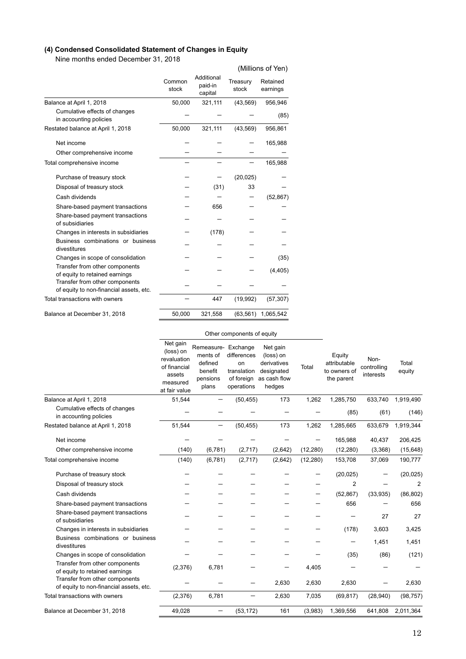# **(4) Condensed Consolidated Statement of Changes in Equity**

Nine months ended December 31, 2018

|                                                                           |                 |                                  |                   | (Millions of Yen)    |
|---------------------------------------------------------------------------|-----------------|----------------------------------|-------------------|----------------------|
|                                                                           | Common<br>stock | Additional<br>paid-in<br>capital | Treasury<br>stock | Retained<br>earnings |
| Balance at April 1, 2018                                                  | 50,000          | 321,111                          | (43, 569)         | 956,946              |
| Cumulative effects of changes<br>in accounting policies                   |                 |                                  |                   | (85)                 |
| Restated balance at April 1, 2018                                         | 50,000          | 321,111                          | (43, 569)         | 956,861              |
| Net income                                                                |                 |                                  |                   | 165,988              |
| Other comprehensive income                                                |                 |                                  |                   |                      |
| Total comprehensive income                                                |                 |                                  |                   | 165,988              |
| Purchase of treasury stock                                                |                 |                                  | (20, 025)         |                      |
| Disposal of treasury stock                                                |                 | (31)                             | 33                |                      |
| Cash dividends                                                            |                 |                                  |                   | (52, 867)            |
| Share-based payment transactions                                          |                 | 656                              |                   |                      |
| Share-based payment transactions<br>of subsidiaries                       |                 |                                  |                   |                      |
| Changes in interests in subsidiaries                                      |                 | (178)                            |                   |                      |
| Business combinations or business<br>divestitures                         |                 |                                  |                   |                      |
| Changes in scope of consolidation                                         |                 |                                  |                   | (35)                 |
| Transfer from other components<br>of equity to retained earnings          |                 |                                  |                   | (4, 405)             |
| Transfer from other components<br>of equity to non-financial assets, etc. |                 |                                  |                   |                      |
| Total transactions with owners                                            |                 | 447                              | (19,992)          | (57, 307)            |
| Balance at December 31, 2018                                              | 50,000          | 321,558                          | (63, 561)         | 1,065,542            |

|                                                                           | Other components of equity                                                                  |                                                                            |                                                              |                                                                              |           |                                                      |                                  |                 |
|---------------------------------------------------------------------------|---------------------------------------------------------------------------------------------|----------------------------------------------------------------------------|--------------------------------------------------------------|------------------------------------------------------------------------------|-----------|------------------------------------------------------|----------------------------------|-----------------|
|                                                                           | Net gain<br>(loss) on<br>revaluation<br>of financial<br>assets<br>measured<br>at fair value | Remeasure- Exchange<br>ments of<br>defined<br>benefit<br>pensions<br>plans | differences<br>on<br>translation<br>of foreign<br>operations | Net gain<br>(loss) on<br>derivatives<br>designated<br>as cash flow<br>hedges | Total     | Equity<br>attributable<br>to owners of<br>the parent | Non-<br>controlling<br>interests | Total<br>equity |
| Balance at April 1, 2018                                                  | 51,544                                                                                      |                                                                            | (50, 455)                                                    | 173                                                                          | 1,262     | 1,285,750                                            | 633.740                          | 1,919,490       |
| Cumulative effects of changes<br>in accounting policies                   |                                                                                             |                                                                            |                                                              |                                                                              |           | (85)                                                 | (61)                             | (146)           |
| Restated balance at April 1, 2018                                         | 51,544                                                                                      | —                                                                          | (50, 455)                                                    | 173                                                                          | 1,262     | 1,285,665                                            | 633,679                          | 1,919,344       |
| Net income                                                                |                                                                                             |                                                                            |                                                              |                                                                              |           | 165,988                                              | 40,437                           | 206,425         |
| Other comprehensive income                                                | (140)                                                                                       | (6,781)                                                                    | (2,717)                                                      | (2,642)                                                                      | (12, 280) | (12, 280)                                            | (3,368)                          | (15, 648)       |
| Total comprehensive income                                                | (140)                                                                                       | (6,781)                                                                    | (2,717)                                                      | (2,642)                                                                      | (12, 280) | 153,708                                              | 37,069                           | 190,777         |
| Purchase of treasury stock                                                |                                                                                             |                                                                            |                                                              |                                                                              |           | (20, 025)                                            |                                  | (20, 025)       |
| Disposal of treasury stock                                                |                                                                                             |                                                                            |                                                              |                                                                              |           | $\overline{2}$                                       |                                  | $\overline{2}$  |
| Cash dividends                                                            |                                                                                             |                                                                            |                                                              |                                                                              |           | (52, 867)                                            | (33,935)                         | (86, 802)       |
| Share-based payment transactions                                          |                                                                                             |                                                                            |                                                              |                                                                              |           | 656                                                  |                                  | 656             |
| Share-based payment transactions<br>of subsidiaries                       |                                                                                             |                                                                            |                                                              |                                                                              |           |                                                      | 27                               | 27              |
| Changes in interests in subsidiaries                                      |                                                                                             |                                                                            |                                                              |                                                                              |           | (178)                                                | 3,603                            | 3,425           |
| Business combinations or business<br>divestitures                         |                                                                                             |                                                                            |                                                              |                                                                              |           |                                                      | 1,451                            | 1,451           |
| Changes in scope of consolidation                                         |                                                                                             |                                                                            |                                                              |                                                                              |           | (35)                                                 | (86)                             | (121)           |
| Transfer from other components<br>of equity to retained earnings          | (2,376)                                                                                     | 6,781                                                                      |                                                              |                                                                              | 4,405     |                                                      |                                  |                 |
| Transfer from other components<br>of equity to non-financial assets, etc. |                                                                                             |                                                                            |                                                              | 2,630                                                                        | 2,630     | 2,630                                                |                                  | 2,630           |
| Total transactions with owners                                            | (2,376)                                                                                     | 6,781                                                                      |                                                              | 2,630                                                                        | 7,035     | (69, 817)                                            | (28,940)                         | (98, 757)       |
| Balance at December 31, 2018                                              | 49,028                                                                                      | —                                                                          | (53, 172)                                                    | 161                                                                          | (3,983)   | 1,369,556                                            | 641,808                          | 2,011,364       |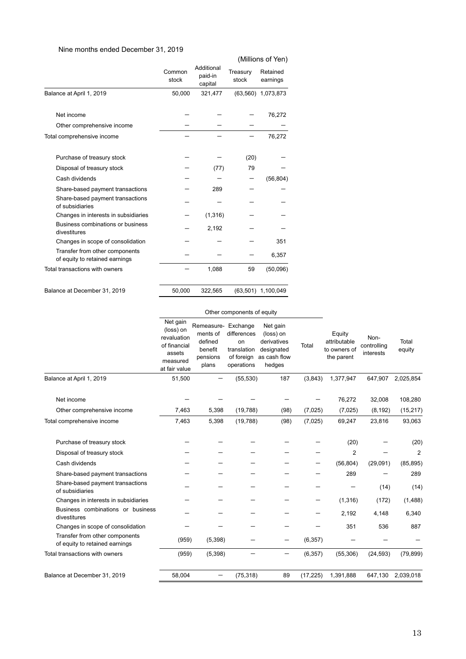# Nine months ended December 31, 2019

|                 |                                  |                   | (Millions of Yen)    |
|-----------------|----------------------------------|-------------------|----------------------|
| Common<br>stock | Additional<br>paid-in<br>capital | Treasury<br>stock | Retained<br>earnings |
| 50,000          | 321,477                          |                   | (63,560) 1,073,873   |
|                 |                                  |                   | 76,272               |
|                 |                                  |                   |                      |
|                 |                                  |                   | 76,272               |
|                 |                                  | (20)              |                      |
|                 | (77)                             | 79                |                      |
|                 |                                  |                   | (56, 804)            |
|                 | 289                              |                   |                      |
|                 |                                  |                   |                      |
|                 | (1, 316)                         |                   |                      |
|                 | 2,192                            |                   |                      |
|                 |                                  |                   | 351                  |
|                 |                                  |                   | 6,357                |
|                 | 1,088                            | 59                | (50,096)             |
|                 |                                  |                   | (63,501) 1,100,049   |
|                 | 50,000                           | 322,565           |                      |

### Other components of equity

|                                                                  | Net gain<br>(loss) on<br>revaluation<br>of financial<br>assets<br>measured<br>at fair value | Remeasure-<br>ments of<br>defined<br>benefit<br>pensions<br>plans | Exchange<br>differences<br>on<br>translation<br>of foreign<br>operations | Net gain<br>(loss) on<br>derivatives<br>designated<br>as cash flow<br>hedges | Total     | Equity<br>attributable<br>to owners of<br>the parent | Non-<br>controlling<br>interests | Total<br>equity |
|------------------------------------------------------------------|---------------------------------------------------------------------------------------------|-------------------------------------------------------------------|--------------------------------------------------------------------------|------------------------------------------------------------------------------|-----------|------------------------------------------------------|----------------------------------|-----------------|
| Balance at April 1, 2019                                         | 51,500                                                                                      |                                                                   | (55, 530)                                                                | 187                                                                          | (3,843)   | 1,377,947                                            | 647,907                          | 2,025,854       |
| Net income                                                       |                                                                                             |                                                                   |                                                                          |                                                                              |           | 76,272                                               | 32,008                           | 108,280         |
| Other comprehensive income                                       | 7,463                                                                                       | 5,398                                                             | (19, 788)                                                                | (98)                                                                         | (7,025)   | (7,025)                                              | (8, 192)                         | (15, 217)       |
| Total comprehensive income                                       | 7,463                                                                                       | 5,398                                                             | (19, 788)                                                                | (98)                                                                         | (7,025)   | 69,247                                               | 23,816                           | 93,063          |
| Purchase of treasury stock                                       |                                                                                             |                                                                   |                                                                          |                                                                              |           | (20)                                                 |                                  | (20)            |
| Disposal of treasury stock                                       |                                                                                             |                                                                   |                                                                          |                                                                              |           | 2                                                    |                                  | $\overline{2}$  |
| Cash dividends                                                   |                                                                                             |                                                                   |                                                                          |                                                                              |           | (56, 804)                                            | (29,091)                         | (85, 895)       |
| Share-based payment transactions                                 |                                                                                             |                                                                   |                                                                          |                                                                              |           | 289                                                  |                                  | 289             |
| Share-based payment transactions<br>of subsidiaries              |                                                                                             |                                                                   |                                                                          |                                                                              |           |                                                      | (14)                             | (14)            |
| Changes in interests in subsidiaries                             |                                                                                             |                                                                   |                                                                          |                                                                              |           | (1,316)                                              | (172)                            | (1, 488)        |
| Business combinations or business<br>divestitures                |                                                                                             |                                                                   |                                                                          |                                                                              |           | 2.192                                                | 4,148                            | 6,340           |
| Changes in scope of consolidation                                |                                                                                             |                                                                   |                                                                          |                                                                              |           | 351                                                  | 536                              | 887             |
| Transfer from other components<br>of equity to retained earnings | (959)                                                                                       | (5,398)                                                           |                                                                          |                                                                              | (6, 357)  |                                                      |                                  |                 |
| Total transactions with owners                                   | (959)                                                                                       | (5,398)                                                           |                                                                          | —                                                                            | (6, 357)  | (55, 306)                                            | (24, 593)                        | (79, 899)       |
| Balance at December 31, 2019                                     | 58,004                                                                                      |                                                                   | (75, 318)                                                                | 89                                                                           | (17, 225) | 1,391,888                                            | 647,130                          | 2,039,018       |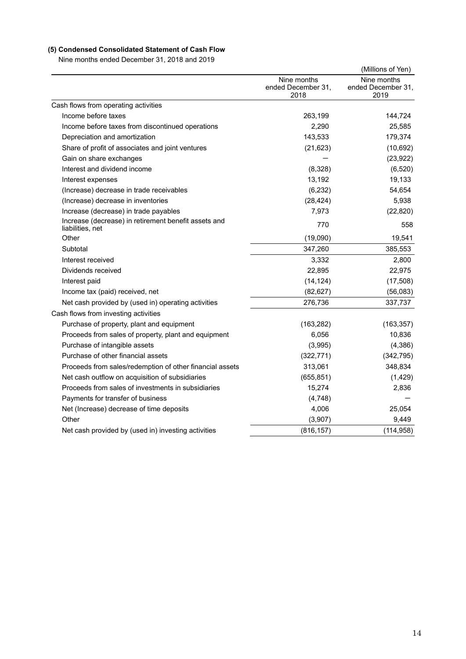# **(5) Condensed Consolidated Statement of Cash Flow**

Nine months ended December 31, 2018 and 2019

|                                                                          |                                           | (Millions of Yen)                         |
|--------------------------------------------------------------------------|-------------------------------------------|-------------------------------------------|
|                                                                          | Nine months<br>ended December 31,<br>2018 | Nine months<br>ended December 31,<br>2019 |
| Cash flows from operating activities                                     |                                           |                                           |
| Income before taxes                                                      | 263,199                                   | 144,724                                   |
| Income before taxes from discontinued operations                         | 2.290                                     | 25,585                                    |
| Depreciation and amortization                                            | 143,533                                   | 179,374                                   |
| Share of profit of associates and joint ventures                         | (21, 623)                                 | (10, 692)                                 |
| Gain on share exchanges                                                  |                                           | (23, 922)                                 |
| Interest and dividend income                                             | (8,328)                                   | (6, 520)                                  |
| Interest expenses                                                        | 13,192                                    | 19,133                                    |
| (Increase) decrease in trade receivables                                 | (6, 232)                                  | 54,654                                    |
| (Increase) decrease in inventories                                       | (28, 424)                                 | 5,938                                     |
| Increase (decrease) in trade payables                                    | 7,973                                     | (22, 820)                                 |
| Increase (decrease) in retirement benefit assets and<br>liabilities, net | 770                                       | 558                                       |
| Other                                                                    | (19,090)                                  | 19,541                                    |
| Subtotal                                                                 | 347,260                                   | 385,553                                   |
| Interest received                                                        | 3,332                                     | 2,800                                     |
| Dividends received                                                       | 22,895                                    | 22,975                                    |
| Interest paid                                                            | (14, 124)                                 | (17, 508)                                 |
| Income tax (paid) received, net                                          | (82, 627)                                 | (56,083)                                  |
| Net cash provided by (used in) operating activities                      | 276,736                                   | 337,737                                   |
| Cash flows from investing activities                                     |                                           |                                           |
| Purchase of property, plant and equipment                                | (163, 282)                                | (163, 357)                                |
| Proceeds from sales of property, plant and equipment                     | 6,056                                     | 10,836                                    |
| Purchase of intangible assets                                            | (3,995)                                   | (4,386)                                   |
| Purchase of other financial assets                                       | (322, 771)                                | (342, 795)                                |
| Proceeds from sales/redemption of other financial assets                 | 313,061                                   | 348,834                                   |
| Net cash outflow on acquisition of subsidiaries                          | (655, 851)                                | (1, 429)                                  |
| Proceeds from sales of investments in subsidiaries                       | 15,274                                    | 2,836                                     |
| Payments for transfer of business                                        | (4,748)                                   |                                           |
| Net (Increase) decrease of time deposits                                 | 4,006                                     | 25,054                                    |
| Other                                                                    | (3,907)                                   | 9,449                                     |
| Net cash provided by (used in) investing activities                      | (816, 157)                                | (114, 958)                                |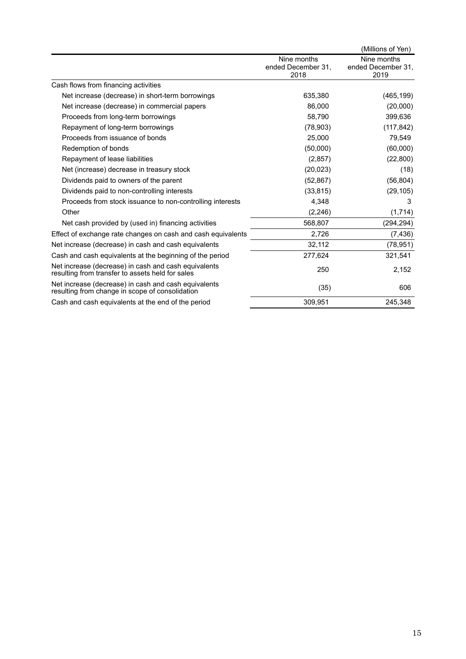|                                                                                                          |                                           | (Millions of Yen)                         |
|----------------------------------------------------------------------------------------------------------|-------------------------------------------|-------------------------------------------|
|                                                                                                          | Nine months<br>ended December 31.<br>2018 | Nine months<br>ended December 31,<br>2019 |
| Cash flows from financing activities                                                                     |                                           |                                           |
| Net increase (decrease) in short-term borrowings                                                         | 635,380                                   | (465, 199)                                |
| Net increase (decrease) in commercial papers                                                             | 86,000                                    | (20,000)                                  |
| Proceeds from long-term borrowings                                                                       | 58,790                                    | 399,636                                   |
| Repayment of long-term borrowings                                                                        | (78, 903)                                 | (117, 842)                                |
| Proceeds from issuance of bonds                                                                          | 25,000                                    | 79,549                                    |
| Redemption of bonds                                                                                      | (50,000)                                  | (60,000)                                  |
| Repayment of lease liabilities                                                                           | (2,857)                                   | (22, 800)                                 |
| Net (increase) decrease in treasury stock                                                                | (20, 023)                                 | (18)                                      |
| Dividends paid to owners of the parent                                                                   | (52, 867)                                 | (56, 804)                                 |
| Dividends paid to non-controlling interests                                                              | (33, 815)                                 | (29, 105)                                 |
| Proceeds from stock issuance to non-controlling interests                                                | 4,348                                     | 3                                         |
| Other                                                                                                    | (2, 246)                                  | (1,714)                                   |
| Net cash provided by (used in) financing activities                                                      | 568,807                                   | (294, 294)                                |
| Effect of exchange rate changes on cash and cash equivalents                                             | 2,726                                     | (7, 436)                                  |
| Net increase (decrease) in cash and cash equivalents                                                     | 32,112                                    | (78, 951)                                 |
| Cash and cash equivalents at the beginning of the period                                                 | 277,624                                   | 321,541                                   |
| Net increase (decrease) in cash and cash equivalents<br>resulting from transfer to assets held for sales | 250                                       | 2,152                                     |
| Net increase (decrease) in cash and cash equivalents<br>resulting from change in scope of consolidation  | (35)                                      | 606                                       |
| Cash and cash equivalents at the end of the period                                                       | 309,951                                   | 245,348                                   |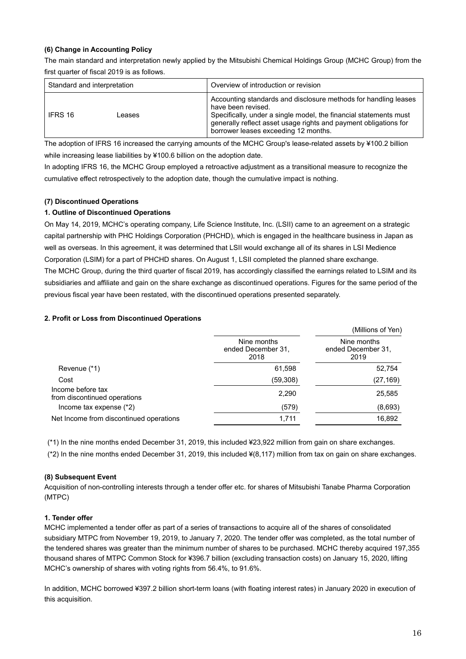### **(6) Change in Accounting Policy**

The main standard and interpretation newly applied by the Mitsubishi Chemical Holdings Group (MCHC Group) from the first quarter of fiscal 2019 is as follows.

| Standard and interpretation | Overview of introduction or revision                                                                                                                                                                                                                                   |
|-----------------------------|------------------------------------------------------------------------------------------------------------------------------------------------------------------------------------------------------------------------------------------------------------------------|
| IFRS 16<br>eases            | Accounting standards and disclosure methods for handling leases<br>have been revised.<br>Specifically, under a single model, the financial statements must<br>generally reflect asset usage rights and payment obligations for<br>borrower leases exceeding 12 months. |

The adoption of IFRS 16 increased the carrying amounts of the MCHC Group's lease-related assets by ¥100.2 billion while increasing lease liabilities by ¥100.6 billion on the adoption date.

In adopting IFRS 16, the MCHC Group employed a retroactive adjustment as a transitional measure to recognize the cumulative effect retrospectively to the adoption date, though the cumulative impact is nothing.

### **(7) Discontinued Operations**

### **1. Outline of Discontinued Operations**

On May 14, 2019, MCHC's operating company, Life Science Institute, Inc. (LSII) came to an agreement on a strategic capital partnership with PHC Holdings Corporation (PHCHD), which is engaged in the healthcare business in Japan as well as overseas. In this agreement, it was determined that LSII would exchange all of its shares in LSI Medience Corporation (LSIM) for a part of PHCHD shares. On August 1, LSII completed the planned share exchange. The MCHC Group, during the third quarter of fiscal 2019, has accordingly classified the earnings related to LSIM and its subsidiaries and affiliate and gain on the share exchange as discontinued operations. Figures for the same period of the previous fiscal year have been restated, with the discontinued operations presented separately.

### **2. Profit or Loss from Discontinued Operations**

|                                                   |                                           | (Millions of Yen)                         |
|---------------------------------------------------|-------------------------------------------|-------------------------------------------|
|                                                   | Nine months<br>ended December 31,<br>2018 | Nine months<br>ended December 31.<br>2019 |
| Revenue (*1)                                      | 61,598                                    | 52,754                                    |
| Cost                                              | (59,308)                                  | (27, 169)                                 |
| Income before tax<br>from discontinued operations | 2,290                                     | 25,585                                    |
| Income tax expense $(*2)$                         | (579)                                     | (8,693)                                   |
| Net Income from discontinued operations           | 1,711                                     | 16,892                                    |

 (\*1) In the nine months ended December 31, 2019, this included ¥23,922 million from gain on share exchanges. (\*2) In the nine months ended December 31, 2019, this included ¥(8,117) million from tax on gain on share exchanges.

### **(8) Subsequent Event**

Acquisition of non-controlling interests through a tender offer etc. for shares of Mitsubishi Tanabe Pharma Corporation (MTPC)

### **1. Tender offer**

MCHC implemented a tender offer as part of a series of transactions to acquire all of the shares of consolidated subsidiary MTPC from November 19, 2019, to January 7, 2020. The tender offer was completed, as the total number of the tendered shares was greater than the minimum number of shares to be purchased. MCHC thereby acquired 197,355 thousand shares of MTPC Common Stock for ¥396.7 billion (excluding transaction costs) on January 15, 2020, lifting MCHC's ownership of shares with voting rights from 56.4%, to 91.6%.

In addition, MCHC borrowed ¥397.2 billion short-term loans (with floating interest rates) in January 2020 in execution of this acquisition.